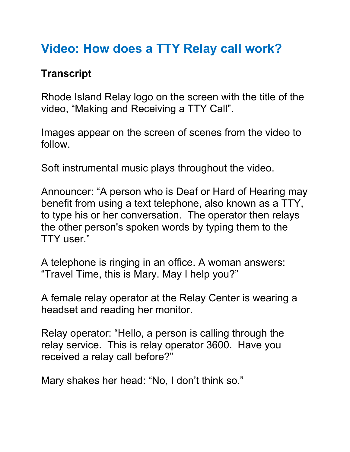## **Video: How does a TTY Relay call work?**

## **Transcript**

Rhode Island Relay logo on the screen with the title of the video, "Making and Receiving a TTY Call".

Images appear on the screen of scenes from the video to follow.

Soft instrumental music plays throughout the video.

Announcer: "A person who is Deaf or Hard of Hearing may benefit from using a text telephone, also known as a TTY, to type his or her conversation. The operator then relays the other person's spoken words by typing them to the TTY user."

A telephone is ringing in an office. A woman answers: "Travel Time, this is Mary. May I help you?"

A female relay operator at the Relay Center is wearing a headset and reading her monitor.

Relay operator: "Hello, a person is calling through the relay service. This is relay operator 3600. Have you received a relay call before?"

Mary shakes her head: "No, I don't think so."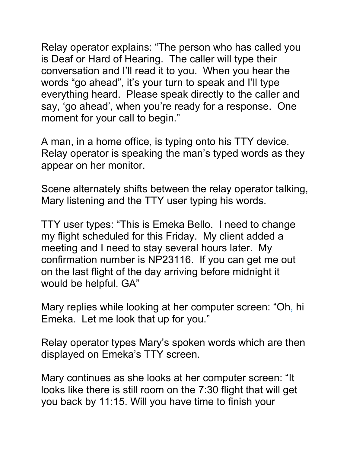Relay operator explains: "The person who has called you is Deaf or Hard of Hearing. The caller will type their conversation and I'll read it to you. When you hear the words "go ahead", it's your turn to speak and I'll type everything heard. Please speak directly to the caller and say, 'go ahead', when you're ready for a response. One moment for your call to begin."

A man, in a home office, is typing onto his TTY device. Relay operator is speaking the man's typed words as they appear on her monitor.

Scene alternately shifts between the relay operator talking, Mary listening and the TTY user typing his words.

TTY user types: "This is Emeka Bello. I need to change my flight scheduled for this Friday. My client added a meeting and I need to stay several hours later. My confirmation number is NP23116. If you can get me out on the last flight of the day arriving before midnight it would be helpful. GA"

Mary replies while looking at her computer screen: "Oh, hi Emeka. Let me look that up for you."

Relay operator types Mary's spoken words which are then displayed on Emeka's TTY screen.

Mary continues as she looks at her computer screen: "It looks like there is still room on the 7:30 flight that will get you back by 11:15. Will you have time to finish your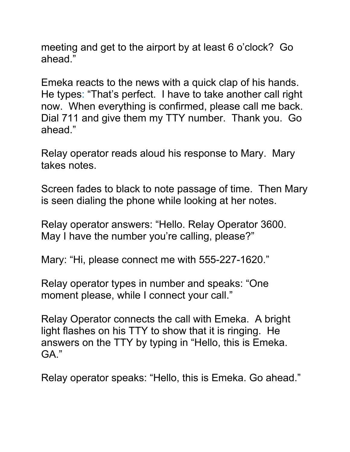meeting and get to the airport by at least 6 o'clock? Go ahead."

Emeka reacts to the news with a quick clap of his hands. He types: "That's perfect. I have to take another call right now. When everything is confirmed, please call me back. Dial 711 and give them my TTY number. Thank you. Go ahead."

Relay operator reads aloud his response to Mary. Mary takes notes.

Screen fades to black to note passage of time. Then Mary is seen dialing the phone while looking at her notes.

Relay operator answers: "Hello. Relay Operator 3600. May I have the number you're calling, please?"

Mary: "Hi, please connect me with 555-227-1620."

Relay operator types in number and speaks: "One moment please, while I connect your call."

Relay Operator connects the call with Emeka. A bright light flashes on his TTY to show that it is ringing. He answers on the TTY by typing in "Hello, this is Emeka. GA."

Relay operator speaks: "Hello, this is Emeka. Go ahead."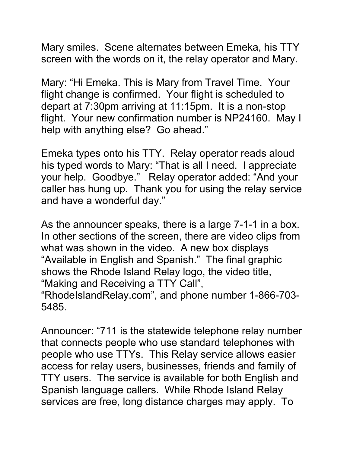Mary smiles. Scene alternates between Emeka, his TTY screen with the words on it, the relay operator and Mary.

Mary: "Hi Emeka. This is Mary from Travel Time. Your flight change is confirmed. Your flight is scheduled to depart at 7:30pm arriving at 11:15pm. It is a non-stop flight. Your new confirmation number is NP24160. May I help with anything else? Go ahead."

Emeka types onto his TTY. Relay operator reads aloud his typed words to Mary: "That is all I need. I appreciate your help. Goodbye." Relay operator added: "And your caller has hung up. Thank you for using the relay service and have a wonderful day."

As the announcer speaks, there is a large 7-1-1 in a box. In other sections of the screen, there are video clips from what was shown in the video. A new box displays "Available in English and Spanish." The final graphic shows the Rhode Island Relay logo, the video title, "Making and Receiving a TTY Call",

"RhodeIslandRelay.com", and phone number 1-866-703- 5485.

Announcer: "711 is the statewide telephone relay number that connects people who use standard telephones with people who use TTYs. This Relay service allows easier access for relay users, businesses, friends and family of TTY users. The service is available for both English and Spanish language callers. While Rhode Island Relay services are free, long distance charges may apply. To